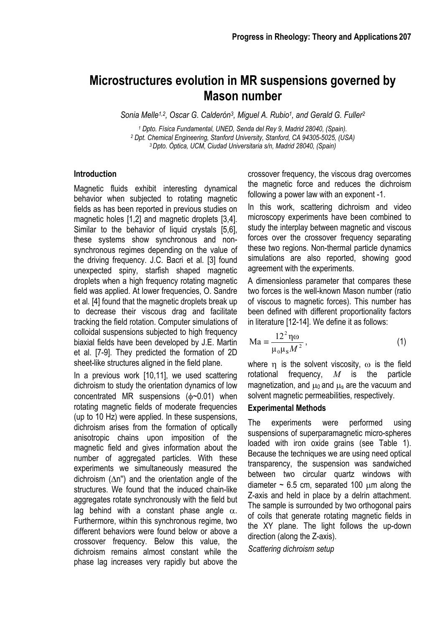# **Microstructures evolution in MR suspensions governed by Mason number**

*Sonia Melle1,2, Oscar G. Calderón3, Miguel A. Rubio1, and Gerald G. Fuller2*

*1 Dpto. Física Fundamental, UNED, Senda del Rey 9, Madrid 28040, (Spain). 2 Dpt. Chemical Engineering, Stanford University, Stanford, CA 94305-5025, (USA) 3 Dpto. Óptica, UCM, Ciudad Universitaria s/n, Madrid 28040, (Spain)* 

## **Introduction**

Magnetic fluids exhibit interesting dynamical behavior when subjected to rotating magnetic fields as has been reported in previous studies on magnetic holes [1,2] and magnetic droplets [3,4]. Similar to the behavior of liquid crystals [5,6], these systems show synchronous and nonsynchronous regimes depending on the value of the driving frequency. J.C. Bacri et al. [3] found unexpected spiny, starfish shaped magnetic droplets when a high frequency rotating magnetic field was applied. At lower frequencies, O. Sandre et al. [4] found that the magnetic droplets break up to decrease their viscous drag and facilitate tracking the field rotation. Computer simulations of colloidal suspensions subjected to high frequency biaxial fields have been developed by J.E. Martin et al. [7-9]. They predicted the formation of 2D sheet-like structures aligned in the field plane.

In a previous work [10,11], we used scattering dichroism to study the orientation dynamics of low concentrated MR suspensions (φ~0.01) when rotating magnetic fields of moderate frequencies (up to 10 Hz) were applied. In these suspensions, dichroism arises from the formation of optically anisotropic chains upon imposition of the magnetic field and gives information about the number of aggregated particles. With these experiments we simultaneously measured the dichroism (∆n'') and the orientation angle of the structures. We found that the induced chain-like aggregates rotate synchronously with the field but lag behind with a constant phase angle  $\alpha$ . Furthermore, within this synchronous regime, two different behaviors were found below or above a crossover frequency. Below this value, the dichroism remains almost constant while the phase lag increases very rapidly but above the

crossover frequency, the viscous drag overcomes the magnetic force and reduces the dichroism following a power law with an exponent -1.

In this work, scattering dichroism and video microscopy experiments have been combined to study the interplay between magnetic and viscous forces over the crossover frequency separating these two regions. Non-thermal particle dynamics simulations are also reported, showing good agreement with the experiments.

A dimensionless parameter that compares these two forces is the well-known Mason number (ratio of viscous to magnetic forces). This number has been defined with different proportionality factors in literature [12-14]. We define it as follows:

$$
\mathrm{Ma} \equiv \frac{12^2 \,\mathrm{m}}{\mu_0 \mu_s M^2},\tag{1}
$$

where n is the solvent viscosity,  $\omega$  is the field rotational frequency, *M* is the particle magnetization, and  $\mu_0$  and  $\mu_s$  are the vacuum and solvent magnetic permeabilities, respectively.

## **Experimental Methods**

The experiments were performed using suspensions of superparamagnetic micro-spheres loaded with iron oxide grains (see Table 1). Because the techniques we are using need optical transparency, the suspension was sandwiched between two circular quartz windows with diameter  $\sim$  6.5 cm, separated 100  $\mu$ m along the Z-axis and held in place by a delrin attachment. The sample is surrounded by two orthogonal pairs of coils that generate rotating magnetic fields in the XY plane. The light follows the up-down direction (along the Z-axis).

*Scattering dichroism setup*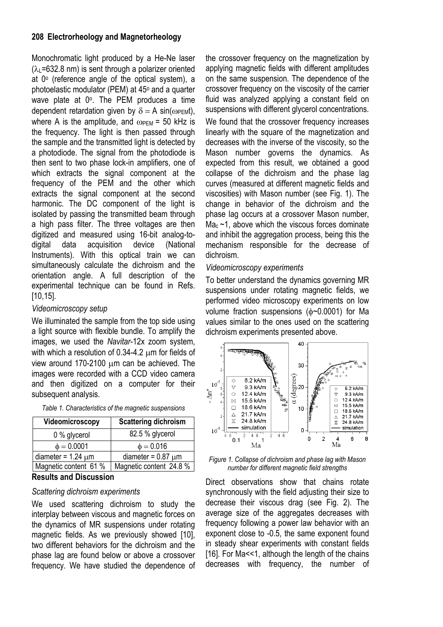## **208 Electrorheology and Magnetorheology**

Monochromatic light produced by a He-Ne laser  $(\lambda_L = 632.8 \text{ nm})$  is sent through a polarizer oriented at  $0^\circ$  (reference angle of the optical system), a photoelastic modulator (PEM) at 45° and a quarter wave plate at 0°. The PEM produces a time dependent retardation given by  $\delta = A \sin(\omega_{\text{PEM}}t)$ , where A is the amplitude, and  $\omega_{\text{PEM}}$  = 50 kHz is the frequency. The light is then passed through the sample and the transmitted light is detected by a photodiode. The signal from the photodiode is then sent to two phase lock-in amplifiers, one of which extracts the signal component at the frequency of the PEM and the other which extracts the signal component at the second harmonic. The DC component of the light is isolated by passing the transmitted beam through a high pass filter. The three voltages are then digitized and measured using 16-bit analog-todigital data acquisition device (National Instruments). With this optical train we can simultaneously calculate the dichroism and the orientation angle. A full description of the experimental technique can be found in Refs. [10,15].

## *Videomicroscopy setup*

We illuminated the sample from the top side using a light source with flexible bundle. To amplify the images, we used the *Navitar*-12x zoom system, with which a resolution of 0.34-4.2 µm for fields of view around 170-2100 µm can be achieved. The images were recorded with a CCD video camera and then digitized on a computer for their subsequent analysis.

| Videomicroscopy         | <b>Scattering dichroism</b> |
|-------------------------|-----------------------------|
| 0 % glycerol            | 82.5 % glycerol             |
| $\phi = 0.0001$         | $\phi = 0.016$              |
| diameter = $1.24 \mu m$ | diameter = $0.87 \mu m$     |
| Magnetic content 61 %   | Magnetic content 24.8 %     |

*Table 1. Characteristics of the magnetic suspensions* 

## **Results and Discussion**

#### *Scattering dichroism experiments*

We used scattering dichroism to study the interplay between viscous and magnetic forces on the dynamics of MR suspensions under rotating magnetic fields. As we previously showed [10], two different behaviors for the dichroism and the phase lag are found below or above a crossover frequency. We have studied the dependence of the crossover frequency on the magnetization by applying magnetic fields with different amplitudes on the same suspension. The dependence of the crossover frequency on the viscosity of the carrier fluid was analyzed applying a constant field on suspensions with different glycerol concentrations.

We found that the crossover frequency increases linearly with the square of the magnetization and decreases with the inverse of the viscosity, so the Mason number governs the dynamics. As expected from this result, we obtained a good collapse of the dichroism and the phase lag curves (measured at different magnetic fields and viscosities) with Mason number (see Fig. 1). The change in behavior of the dichroism and the phase lag occurs at a crossover Mason number,  $Ma<sub>c</sub>$  ~1, above which the viscous forces dominate and inhibit the aggregation process, being this the mechanism responsible for the decrease of dichroism.

## *Videomicroscopy experiments*

To better understand the dynamics governing MR suspensions under rotating magnetic fields, we performed video microscopy experiments on low volume fraction suspensions (φ~0.0001) for Ma values similar to the ones used on the scattering dichroism experiments presented above.



*Figure 1. Collapse of dichroism and phase lag with Mason number for different magnetic field strengths* 

Direct observations show that chains rotate synchronously with the field adjusting their size to decrease their viscous drag (see Fig. 2). The average size of the aggregates decreases with frequency following a power law behavior with an exponent close to -0.5, the same exponent found in steady shear experiments with constant fields [16]. For Ma<<1, although the length of the chains decreases with frequency, the number of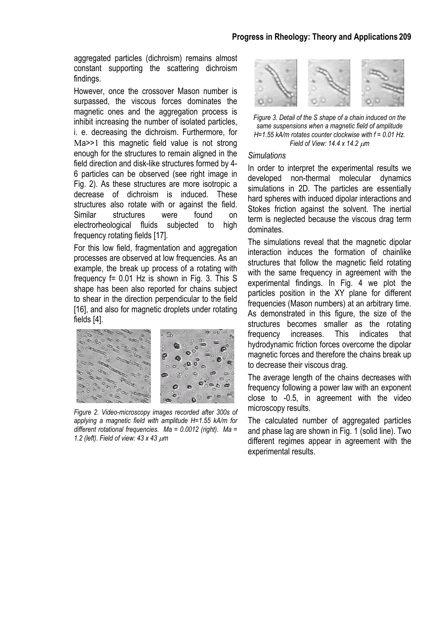#### **Progress in Rheology: Theory and Applications 209**

aggregated particles (dichroism) remains almost constant supporting the scattering dichroism findings.

However, once the crossover Mason number is surpassed, the viscous forces dominates the magnetic ones and the aggregation process is inhibit increasing the number of isolated particles, i. e. decreasing the dichroism. Furthermore, for Ma>>1 this magnetic field value is not strong enough for the structures to remain aligned in the field direction and disk-like structures formed by 4- 6 particles can be observed (see right image in Fig. 2). As these structures are more isotropic a decrease of dichroism is induced. These structures also rotate with or against the field. Similar structures were found on electrorheological fluids subjected to high frequency rotating fields [17].

For this low field, fragmentation and aggregation processes are observed at low frequencies. As an example, the break up process of a rotating with frequency f= 0.01 Hz is shown in Fig. 3. This S shape has been also reported for chains subject to shear in the direction perpendicular to the field [16], and also for magnetic droplets under rotating fields [4].



*Figure 2. Video-microscopy images recorded after 300s of applying a magnetic field with amplitude H=1.55 kA/m for different rotational frequencies. Ma = 0.0012 (right). Ma = 1.2 (left). Field of view: 43 x 43* µ*m* 



*Figure 3. Detail of the S shape of a chain induced on the same suspensions when a magnetic field of amplitude H=1.55 kA/m rotates counter clockwise with f = 0.01 Hz. Field of View: 14.4 x 14.2* µ*m* 

#### *Simulations*

In order to interpret the experimental results we developed non-thermal molecular dynamics simulations in 2D. The particles are essentially hard spheres with induced dipolar interactions and Stokes friction against the solvent. The inertial term is neglected because the viscous drag term dominates.

The simulations reveal that the magnetic dipolar interaction induces the formation of chainlike structures that follow the magnetic field rotating with the same frequency in agreement with the experimental findings. In Fig. 4 we plot the particles position in the XY plane for different frequencies (Mason numbers) at an arbitrary time. As demonstrated in this figure, the size of the structures becomes smaller as the rotating frequency increases. This indicates that hydrodynamic friction forces overcome the dipolar magnetic forces and therefore the chains break up to decrease their viscous drag.

The average length of the chains decreases with frequency following a power law with an exponent close to -0.5, in agreement with the video microscopy results.

The calculated number of aggregated particles and phase lag are shown in Fig. 1 (solid line). Two different regimes appear in agreement with the experimental results.